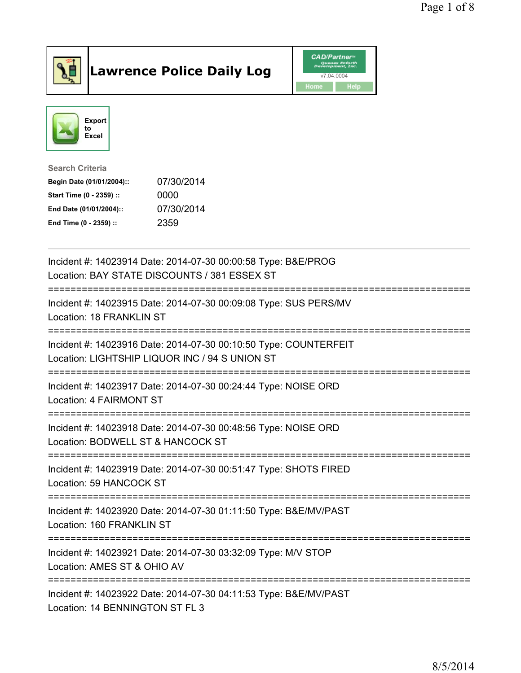

## Lawrence Police Daily Log **Daniel CAD/Partner**





Search Criteria Begin Date (01/01/2004):: 07/30/2014 Start Time (0 - 2359) :: 0000 End Date (01/01/2004):: 07/30/2014 End Time (0 - 2359) :: 2359

| Incident #: 14023914 Date: 2014-07-30 00:00:58 Type: B&E/PROG<br>Location: BAY STATE DISCOUNTS / 381 ESSEX ST                        |
|--------------------------------------------------------------------------------------------------------------------------------------|
| Incident #: 14023915 Date: 2014-07-30 00:09:08 Type: SUS PERS/MV<br>Location: 18 FRANKLIN ST                                         |
| Incident #: 14023916 Date: 2014-07-30 00:10:50 Type: COUNTERFEIT<br>Location: LIGHTSHIP LIQUOR INC / 94 S UNION ST                   |
| Incident #: 14023917 Date: 2014-07-30 00:24:44 Type: NOISE ORD<br>Location: 4 FAIRMONT ST                                            |
| Incident #: 14023918 Date: 2014-07-30 00:48:56 Type: NOISE ORD<br>Location: BODWELL ST & HANCOCK ST                                  |
| Incident #: 14023919 Date: 2014-07-30 00:51:47 Type: SHOTS FIRED<br>Location: 59 HANCOCK ST<br>.------------------------------------ |
| Incident #: 14023920 Date: 2014-07-30 01:11:50 Type: B&E/MV/PAST<br>Location: 160 FRANKLIN ST                                        |
| Incident #: 14023921 Date: 2014-07-30 03:32:09 Type: M/V STOP<br>Location: AMES ST & OHIO AV                                         |
| Incident #: 14023922 Date: 2014-07-30 04:11:53 Type: B&E/MV/PAST<br>Location: 14 BENNINGTON ST FL 3                                  |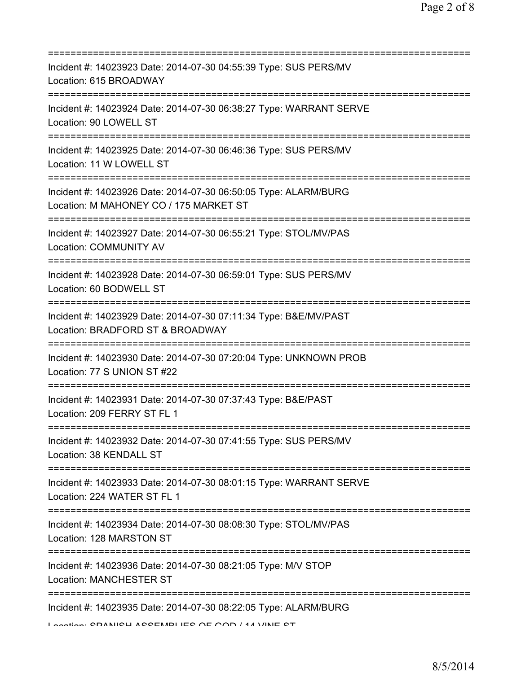| Incident #: 14023923 Date: 2014-07-30 04:55:39 Type: SUS PERS/MV<br>Location: 615 BROADWAY                                                  |
|---------------------------------------------------------------------------------------------------------------------------------------------|
| Incident #: 14023924 Date: 2014-07-30 06:38:27 Type: WARRANT SERVE<br>Location: 90 LOWELL ST                                                |
| Incident #: 14023925 Date: 2014-07-30 06:46:36 Type: SUS PERS/MV<br>Location: 11 W LOWELL ST                                                |
| Incident #: 14023926 Date: 2014-07-30 06:50:05 Type: ALARM/BURG<br>Location: M MAHONEY CO / 175 MARKET ST                                   |
| Incident #: 14023927 Date: 2014-07-30 06:55:21 Type: STOL/MV/PAS<br>Location: COMMUNITY AV                                                  |
| Incident #: 14023928 Date: 2014-07-30 06:59:01 Type: SUS PERS/MV<br>Location: 60 BODWELL ST                                                 |
| Incident #: 14023929 Date: 2014-07-30 07:11:34 Type: B&E/MV/PAST<br>Location: BRADFORD ST & BROADWAY<br>=================================== |
| Incident #: 14023930 Date: 2014-07-30 07:20:04 Type: UNKNOWN PROB<br>Location: 77 S UNION ST #22                                            |
| Incident #: 14023931 Date: 2014-07-30 07:37:43 Type: B&E/PAST<br>Location: 209 FERRY ST FL 1                                                |
| Incident #: 14023932 Date: 2014-07-30 07:41:55 Type: SUS PERS/MV<br>Location: 38 KENDALL ST                                                 |
| Incident #: 14023933 Date: 2014-07-30 08:01:15 Type: WARRANT SERVE<br>Location: 224 WATER ST FL 1                                           |
| Incident #: 14023934 Date: 2014-07-30 08:08:30 Type: STOL/MV/PAS<br>Location: 128 MARSTON ST                                                |
| Incident #: 14023936 Date: 2014-07-30 08:21:05 Type: M/V STOP<br><b>Location: MANCHESTER ST</b>                                             |
| Incident #: 14023935 Date: 2014-07-30 08:22:05 Type: ALARM/BURG<br>Lootion: CDANIICH ACCEMBLIEC AE AAD / 44 VINE CT                         |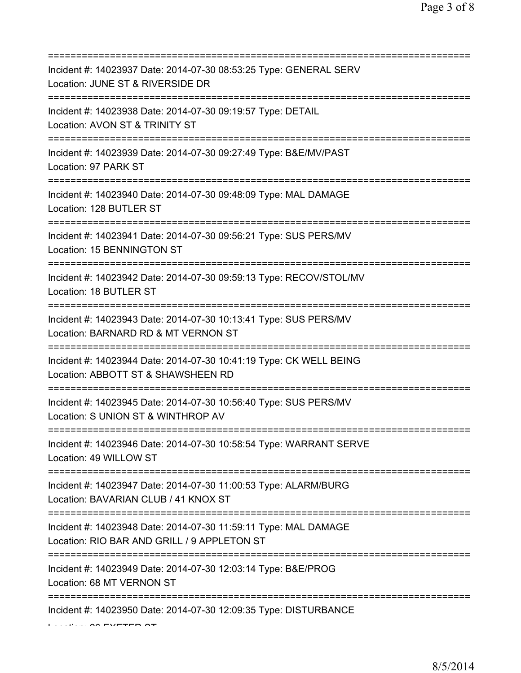| Incident #: 14023937 Date: 2014-07-30 08:53:25 Type: GENERAL SERV<br>Location: JUNE ST & RIVERSIDE DR                           |
|---------------------------------------------------------------------------------------------------------------------------------|
| ===========================<br>Incident #: 14023938 Date: 2014-07-30 09:19:57 Type: DETAIL<br>Location: AVON ST & TRINITY ST    |
| Incident #: 14023939 Date: 2014-07-30 09:27:49 Type: B&E/MV/PAST<br>Location: 97 PARK ST<br>=================================== |
| Incident #: 14023940 Date: 2014-07-30 09:48:09 Type: MAL DAMAGE<br>Location: 128 BUTLER ST                                      |
| Incident #: 14023941 Date: 2014-07-30 09:56:21 Type: SUS PERS/MV<br>Location: 15 BENNINGTON ST                                  |
| Incident #: 14023942 Date: 2014-07-30 09:59:13 Type: RECOV/STOL/MV<br>Location: 18 BUTLER ST                                    |
| Incident #: 14023943 Date: 2014-07-30 10:13:41 Type: SUS PERS/MV<br>Location: BARNARD RD & MT VERNON ST                         |
| Incident #: 14023944 Date: 2014-07-30 10:41:19 Type: CK WELL BEING<br>Location: ABBOTT ST & SHAWSHEEN RD                        |
| Incident #: 14023945 Date: 2014-07-30 10:56:40 Type: SUS PERS/MV<br>Location: S UNION ST & WINTHROP AV                          |
| Incident #: 14023946 Date: 2014-07-30 10:58:54 Type: WARRANT SERVE<br>Location: 49 WILLOW ST                                    |
| Incident #: 14023947 Date: 2014-07-30 11:00:53 Type: ALARM/BURG<br>Location: BAVARIAN CLUB / 41 KNOX ST                         |
| Incident #: 14023948 Date: 2014-07-30 11:59:11 Type: MAL DAMAGE<br>Location: RIO BAR AND GRILL / 9 APPLETON ST                  |
| Incident #: 14023949 Date: 2014-07-30 12:03:14 Type: B&E/PROG<br>Location: 68 MT VERNON ST                                      |
| Incident #: 14023950 Date: 2014-07-30 12:09:35 Type: DISTURBANCE                                                                |

 $\Omega$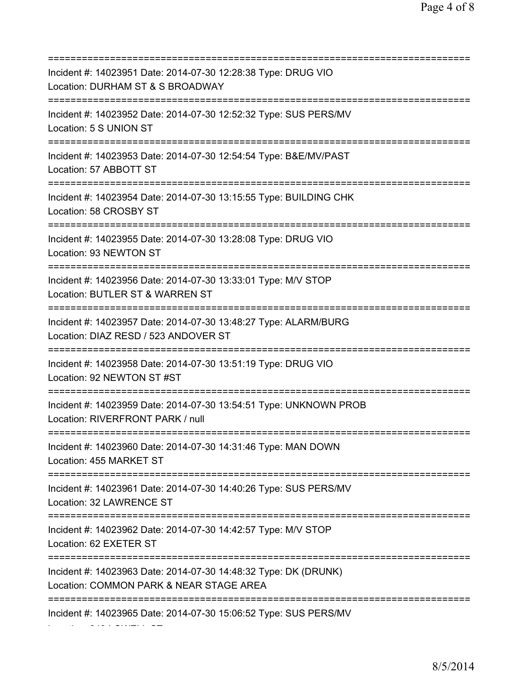=========================================================================== Incident #: 14023951 Date: 2014-07-30 12:28:38 Type: DRUG VIO Location: DURHAM ST & S BROADWAY =========================================================================== Incident #: 14023952 Date: 2014-07-30 12:52:32 Type: SUS PERS/MV Location: 5 S UNION ST =========================================================================== Incident #: 14023953 Date: 2014-07-30 12:54:54 Type: B&E/MV/PAST Location: 57 ABBOTT ST =========================================================================== Incident #: 14023954 Date: 2014-07-30 13:15:55 Type: BUILDING CHK Location: 58 CROSBY ST =========================================================================== Incident #: 14023955 Date: 2014-07-30 13:28:08 Type: DRUG VIO Location: 93 NEWTON ST =========================================================================== Incident #: 14023956 Date: 2014-07-30 13:33:01 Type: M/V STOP Location: BUTLER ST & WARREN ST =========================================================================== Incident #: 14023957 Date: 2014-07-30 13:48:27 Type: ALARM/BURG Location: DIAZ RESD / 523 ANDOVER ST =========================================================================== Incident #: 14023958 Date: 2014-07-30 13:51:19 Type: DRUG VIO Location: 92 NEWTON ST #ST =========================================================================== Incident #: 14023959 Date: 2014-07-30 13:54:51 Type: UNKNOWN PROB Location: RIVERFRONT PARK / null =========================================================================== Incident #: 14023960 Date: 2014-07-30 14:31:46 Type: MAN DOWN Location: 455 MARKET ST =========================================================================== Incident #: 14023961 Date: 2014-07-30 14:40:26 Type: SUS PERS/MV Location: 32 LAWRENCE ST =========================================================================== Incident #: 14023962 Date: 2014-07-30 14:42:57 Type: M/V STOP Location: 62 EXETER ST =========================================================================== Incident #: 14023963 Date: 2014-07-30 14:48:32 Type: DK (DRUNK) Location: COMMON PARK & NEAR STAGE AREA =========================================================================== Incident #: 14023965 Date: 2014-07-30 15:06:52 Type: SUS PERS/MV Location: 343 LOWELL ST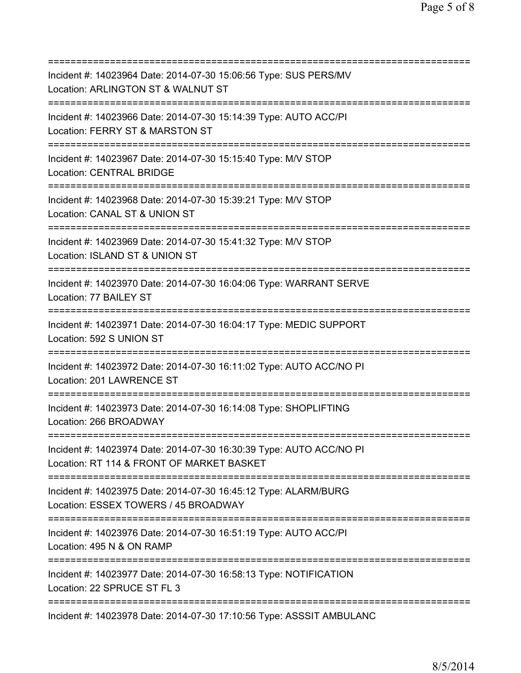| Incident #: 14023964 Date: 2014-07-30 15:06:56 Type: SUS PERS/MV<br>Location: ARLINGTON ST & WALNUT ST<br>;========================             |
|-------------------------------------------------------------------------------------------------------------------------------------------------|
| Incident #: 14023966 Date: 2014-07-30 15:14:39 Type: AUTO ACC/PI<br>Location: FERRY ST & MARSTON ST                                             |
| Incident #: 14023967 Date: 2014-07-30 15:15:40 Type: M/V STOP<br><b>Location: CENTRAL BRIDGE</b>                                                |
| Incident #: 14023968 Date: 2014-07-30 15:39:21 Type: M/V STOP<br>Location: CANAL ST & UNION ST                                                  |
| Incident #: 14023969 Date: 2014-07-30 15:41:32 Type: M/V STOP<br>Location: ISLAND ST & UNION ST                                                 |
| Incident #: 14023970 Date: 2014-07-30 16:04:06 Type: WARRANT SERVE<br>Location: 77 BAILEY ST<br>-------------------------------                 |
| Incident #: 14023971 Date: 2014-07-30 16:04:17 Type: MEDIC SUPPORT<br>Location: 592 S UNION ST<br>=====================================         |
| Incident #: 14023972 Date: 2014-07-30 16:11:02 Type: AUTO ACC/NO PI<br>Location: 201 LAWRENCE ST                                                |
| Incident #: 14023973 Date: 2014-07-30 16:14:08 Type: SHOPLIFTING<br>Location: 266 BROADWAY                                                      |
| Incident #: 14023974 Date: 2014-07-30 16:30:39 Type: AUTO ACC/NO PI<br>Location: RT 114 & FRONT OF MARKET BASKET                                |
| Incident #: 14023975 Date: 2014-07-30 16:45:12 Type: ALARM/BURG<br>Location: ESSEX TOWERS / 45 BROADWAY<br>:=================================== |
| Incident #: 14023976 Date: 2014-07-30 16:51:19 Type: AUTO ACC/PI<br>Location: 495 N & ON RAMP                                                   |
| Incident #: 14023977 Date: 2014-07-30 16:58:13 Type: NOTIFICATION<br>Location: 22 SPRUCE ST FL 3                                                |
| Incident #: 14023978 Date: 2014-07-30 17:10:56 Type: ASSSIT AMBULANC                                                                            |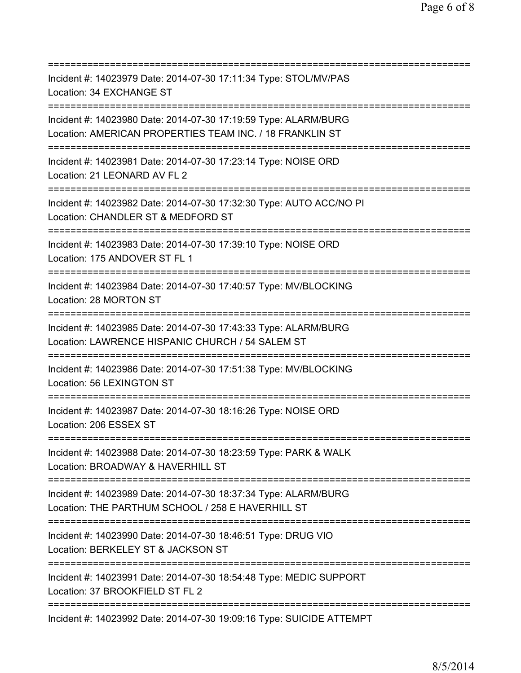| Incident #: 14023979 Date: 2014-07-30 17:11:34 Type: STOL/MV/PAS<br>Location: 34 EXCHANGE ST                                             |
|------------------------------------------------------------------------------------------------------------------------------------------|
| Incident #: 14023980 Date: 2014-07-30 17:19:59 Type: ALARM/BURG<br>Location: AMERICAN PROPERTIES TEAM INC. / 18 FRANKLIN ST              |
| Incident #: 14023981 Date: 2014-07-30 17:23:14 Type: NOISE ORD<br>Location: 21 LEONARD AV FL 2<br>=====================================  |
| Incident #: 14023982 Date: 2014-07-30 17:32:30 Type: AUTO ACC/NO PI<br>Location: CHANDLER ST & MEDFORD ST                                |
| Incident #: 14023983 Date: 2014-07-30 17:39:10 Type: NOISE ORD<br>Location: 175 ANDOVER ST FL 1                                          |
| Incident #: 14023984 Date: 2014-07-30 17:40:57 Type: MV/BLOCKING<br>Location: 28 MORTON ST                                               |
| Incident #: 14023985 Date: 2014-07-30 17:43:33 Type: ALARM/BURG<br>Location: LAWRENCE HISPANIC CHURCH / 54 SALEM ST                      |
| Incident #: 14023986 Date: 2014-07-30 17:51:38 Type: MV/BLOCKING<br>Location: 56 LEXINGTON ST                                            |
| Incident #: 14023987 Date: 2014-07-30 18:16:26 Type: NOISE ORD<br>Location: 206 ESSEX ST                                                 |
| Incident #: 14023988 Date: 2014-07-30 18:23:59 Type: PARK & WALK<br>Location: BROADWAY & HAVERHILL ST                                    |
| Incident #: 14023989 Date: 2014-07-30 18:37:34 Type: ALARM/BURG<br>Location: THE PARTHUM SCHOOL / 258 E HAVERHILL ST<br>:=============== |
| Incident #: 14023990 Date: 2014-07-30 18:46:51 Type: DRUG VIO<br>Location: BERKELEY ST & JACKSON ST                                      |
| Incident #: 14023991 Date: 2014-07-30 18:54:48 Type: MEDIC SUPPORT<br>Location: 37 BROOKFIELD ST FL 2                                    |
| Incident #: 14023992 Date: 2014-07-30 19:09:16 Type: SUICIDE ATTEMPT                                                                     |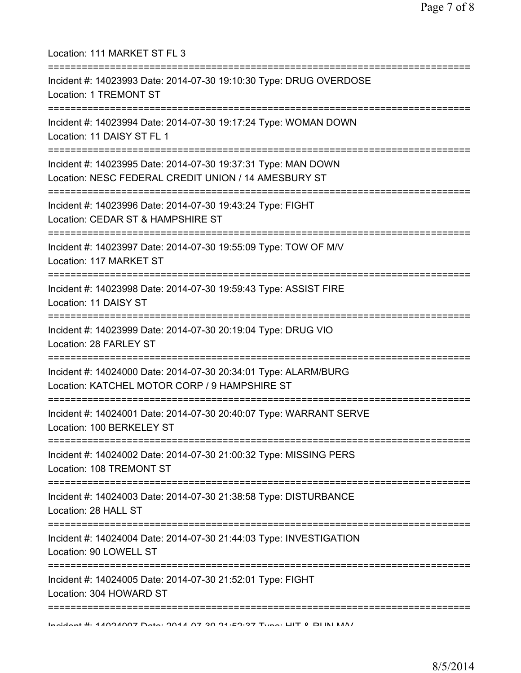| Location: 111 MARKET ST FL 3                                                                                                          |
|---------------------------------------------------------------------------------------------------------------------------------------|
| Incident #: 14023993 Date: 2014-07-30 19:10:30 Type: DRUG OVERDOSE<br>Location: 1 TREMONT ST                                          |
| Incident #: 14023994 Date: 2014-07-30 19:17:24 Type: WOMAN DOWN<br>Location: 11 DAISY ST FL 1<br>.----------------------------------- |
| Incident #: 14023995 Date: 2014-07-30 19:37:31 Type: MAN DOWN<br>Location: NESC FEDERAL CREDIT UNION / 14 AMESBURY ST                 |
| Incident #: 14023996 Date: 2014-07-30 19:43:24 Type: FIGHT<br>Location: CEDAR ST & HAMPSHIRE ST                                       |
| Incident #: 14023997 Date: 2014-07-30 19:55:09 Type: TOW OF M/V<br>Location: 117 MARKET ST                                            |
| Incident #: 14023998 Date: 2014-07-30 19:59:43 Type: ASSIST FIRE<br>Location: 11 DAISY ST                                             |
| Incident #: 14023999 Date: 2014-07-30 20:19:04 Type: DRUG VIO<br>Location: 28 FARLEY ST                                               |
| Incident #: 14024000 Date: 2014-07-30 20:34:01 Type: ALARM/BURG<br>Location: KATCHEL MOTOR CORP / 9 HAMPSHIRE ST                      |
| Incident #: 14024001 Date: 2014-07-30 20:40:07 Type: WARRANT SERVE<br>Location: 100 BERKELEY ST                                       |
| Incident #: 14024002 Date: 2014-07-30 21:00:32 Type: MISSING PERS<br>Location: 108 TREMONT ST                                         |
| Incident #: 14024003 Date: 2014-07-30 21:38:58 Type: DISTURBANCE<br>Location: 28 HALL ST                                              |
| Incident #: 14024004 Date: 2014-07-30 21:44:03 Type: INVESTIGATION<br>Location: 90 LOWELL ST                                          |
| Incident #: 14024005 Date: 2014-07-30 21:52:01 Type: FIGHT<br>Location: 304 HOWARD ST                                                 |
| :==============<br>Incident # 4 4004007 Data 004 4 07 00 04.E0.07 Tune: LIIT 0 DHALMAI                                                |